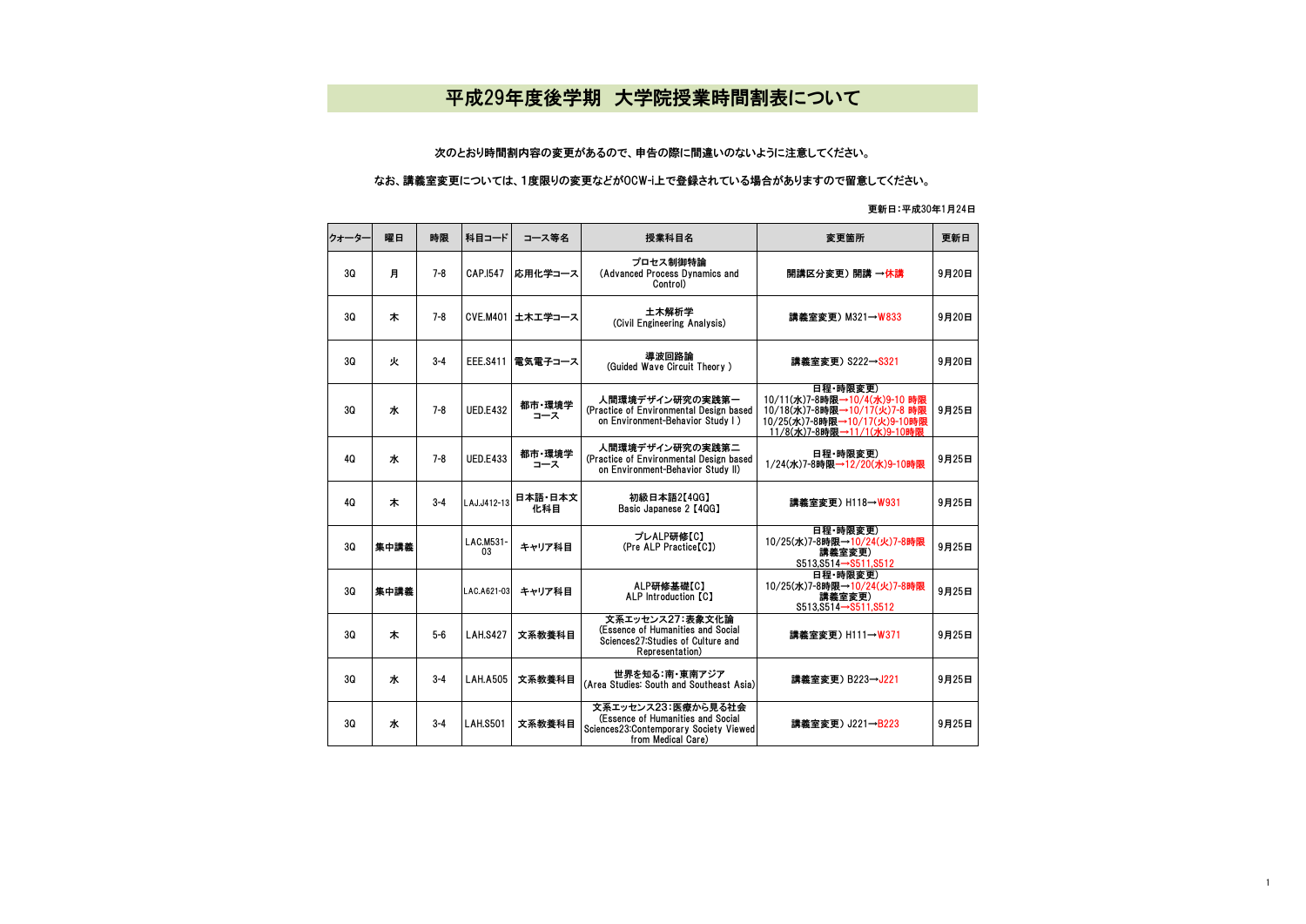## 平成29年度後学期 大学院授業時間割表について

## 次のとおり時間割内容の変更があるので、申告の際に間違いのないように注意してください。

## なお、講義室変更については、1度限りの変更などがOCW-i上で登録されている場合がありますので留意してください。

## 更新日:平成30年1月24日

| クォーター | 曜日   | 時限      | 科目コード           | コース等名          | 授業科目名                                                                                                                   | 変更箇所                                                                                                                                   | 更新日   |
|-------|------|---------|-----------------|----------------|-------------------------------------------------------------------------------------------------------------------------|----------------------------------------------------------------------------------------------------------------------------------------|-------|
| 30    | 月    | 7-8     | CAP.1547        | 応用化学コース        | プロセス制御特論<br>(Advanced Process Dynamics and<br>Control)                                                                  | 開講区分変更) 開講 →休講                                                                                                                         | 9月20日 |
| 30    | 木    | $7 - 8$ | <b>CVE.M401</b> | 土木工学コース        | 土木解析学<br>(Civil Engineering Analysis)                                                                                   | 講義室変更) M321→W833                                                                                                                       | 9月20日 |
| 30    | 火    | $3 - 4$ | <b>EEE.S411</b> | 電気電子コース        | 導波回路論<br>(Guided Wave Circuit Theory)                                                                                   | 講義室変更) S222→S321                                                                                                                       | 9月20日 |
| 3Q    | ж    | $7 - 8$ | <b>UED.E432</b> | 都市·環境学<br>コース  | 人間環境デザイン研究の実践第一<br>(Practice of Environmental Design based<br>on Environment-Behavior Study I)                          | 日程·時限変更)<br>10/11(水)7-8時限→10/4(水)9-10 時限<br>10/18(水)7-8時限→10/17(火)7-8 時限<br>10/25(水)7-8時限→10/17(火)9-10時限<br>11/8(水)7-8時限→11/1(水)9-10時限 | 9月25日 |
| 40    | ж    | $7 - 8$ | <b>UED.E433</b> | 都市·環境学<br>コース  | 人間環境デザイン研究の実践第二<br>(Practice of Environmental Design based)<br>on Environment-Behavior Study II)                        | 日程·時限変更)<br>1/24(水)7-8時限→12/20(水)9-10時限                                                                                                | 9月25日 |
| 40    | 木    | $3 - 4$ | LAJ.J412-13     | 日本語·日本文<br>化科目 | 初級日本語2【4QG】<br>Basic Japanese 2 [4QG]                                                                                   | 講義室変更) H118→W931                                                                                                                       | 9月25日 |
| 30    | 集中講義 |         | LAC.M531-<br>03 | キャリア科目         | プレALP研修【C】<br>(Pre ALP Practice[C])                                                                                     | 日程·時限変更)<br>10/25(水)7-8時限→10/24(火)7-8時限<br>講義室変更)<br>$$513,5514 \rightarrow $511,5512$                                                 | 9月25日 |
| 3Q    | 集中講義 |         | LAC.A621-03     | キャリア科目         | ALP研修基礎【C】<br><b>ALP Introduction [C]</b>                                                                               | 日程·時限変更)<br>10/25(水)7-8時限→10/24(火)7-8時限<br>講義室変更)<br>$$513.8514 \rightarrow $511.8512$                                                 | 9月25日 |
| 30    | 木    | $5-6$   | <b>LAH.S427</b> | 文系教養科目         | 文系エッセンス27:表象文化論<br>(Essence of Humanities and Social<br>Sciences27:Studies of Culture and<br>Representation)            | 講義室変更) H111→W371                                                                                                                       | 9月25日 |
| 30    | ж    | $3 - 4$ | <b>LAH.A505</b> | 文系教養科目         | 世界を知る:南・東南アジア<br>(Area Studies: South and Southeast Asia)                                                               | 講義室変更) B223→J221                                                                                                                       | 9月25日 |
| 3Q    | ж    | $3 - 4$ | <b>LAH.S501</b> | 文系教養科目         | 文系エッセンス23:医療から見る社会<br>(Essence of Humanities and Social<br>Sciences23:Contemporary Society Viewed<br>from Medical Care) | 講義室変更) J221→B223                                                                                                                       | 9月25日 |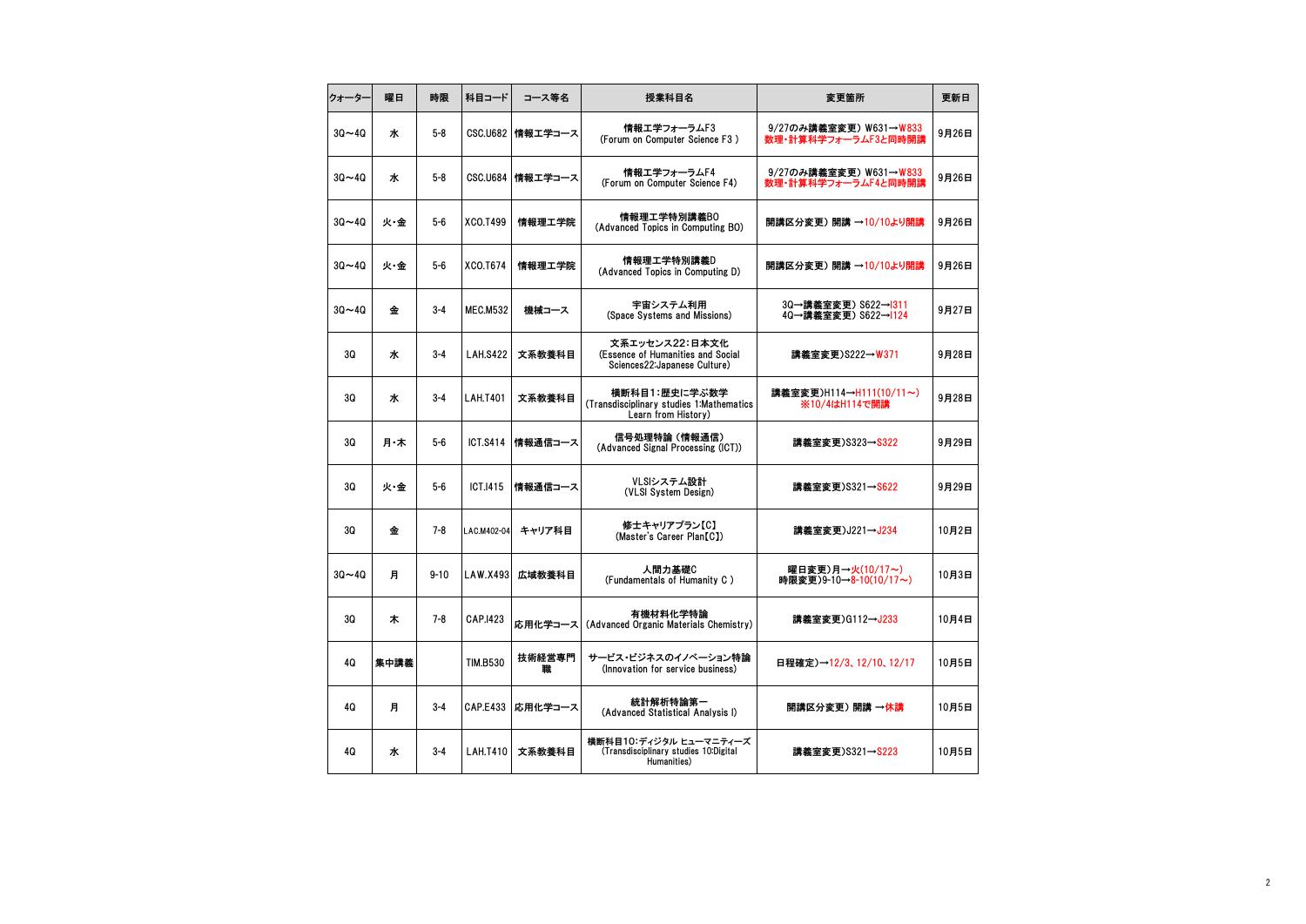| クォーター     | 曜日   | 時限       | 科目コード           | コース等名              | 授業科目名                                                                                | 変更箇所                                          | 更新日   |
|-----------|------|----------|-----------------|--------------------|--------------------------------------------------------------------------------------|-----------------------------------------------|-------|
| $30 - 40$ | ж    | $5 - 8$  |                 | CSC.U682 情報エ学コース   | 情報エ学フォーラムF3<br>(Forum on Computer Science F3)                                        | 9/27のみ講義室変更)W631→W833<br>数理・計算科学フォーラムF3と同時開講  | 9月26日 |
| $30 - 40$ | ж    | $5 - 8$  |                 | CSC.U684   情報工学コース | 情報エ学フォーラムF4<br>(Forum on Computer Science F4)                                        | 9/27のみ講義室変更) W631→W833<br>数理・計算科学フォーラムF4と同時開講 | 9月26日 |
| $30 - 40$ | 火·金  | $5-6$    | XCO.T499        | 情報理工学院             | 情報理工学特別講義BO<br>(Advanced Topics in Computing BO)                                     | 開講区分変更) 開講 →10/10より開講                         | 9月26日 |
| $30 - 40$ | 火·金  | $5-6$    | XCO.T674        | 情報理工学院             | 情報理工学特別講義D<br>(Advanced Topics in Computing D)                                       | 開講区分変更) 開講 →10/10より開講                         | 9月26日 |
| $30 - 40$ | 金    | $3 - 4$  | <b>MEC.M532</b> | 機械コース              | 宇宙システム利用<br>(Space Systems and Missions)                                             | 3Q→講義室変更) S622→1311<br>4Q→講義室変更) S622→1124    | 9月27日 |
| 3Q        | ж    | $3 - 4$  | <b>LAH.S422</b> | 文系教養科目             | 文系エッセンス22:日本文化<br>(Essence of Humanities and Social<br>Sciences22: Japanese Culture) | 講義室変更)S222→W371                               | 9月28日 |
| 3Q        | ж    | $3 - 4$  | <b>LAH.T401</b> | 文系教養科目             | 横断科目1:歴史に学ぶ数学<br>(Transdisciplinary studies 1:Mathematics<br>Learn from History)     | 講義室変更)H114→H111(10/11~)<br>※10/4はH114で開講      | 9月28日 |
| 3Q        | 月·木  | $5-6$    | ICT.S414        | 情報通信コース            | 信号処理特論 (情報通信)<br>(Advanced Signal Processing (ICT))                                  | 講義室変更)S323→S322                               | 9月29日 |
| 3Q        | 火・金  | $5-6$    | ICT.1415        | 情報通信コース            | VLSIシステム設計<br>(VLSI System Design)                                                   | 講義室変更)S321→S622                               | 9月29日 |
| 3Q        | 金    | $7 - 8$  | LAC.M402-04     | キャリア科目             | 修士キャリアプラン【C】<br>(Master's Career Plan(C))                                            | 講義室変更)J221→J234                               | 10月2日 |
| $30 - 40$ | 月    | $9 - 10$ | LAW.X493        | 広域教養科目             | 人間力基礎C<br>(Fundamentals of Humanity C)                                               | 曜日変更)月→火(10/17~)<br>時限変更)9-10→8-10(10/17~)    | 10月3日 |
| 30        | 木    | $7 - 8$  | CAP.1423        | 応用化学コース            | 有機材料化学特論<br>(Advanced Organic Materials Chemistry)                                   | 講義室変更)G112→J233                               | 10月4日 |
| 4Q        | 集中講義 |          | <b>TIM.B530</b> | 技術経営専門<br>職        | サービス・ビジネスのイノベーション特論<br>(Innovation for service business)                             | 日程確定)→12/3、12/10、12/17                        | 10月5日 |
| 4Q        | 月    | $3 - 4$  | <b>CAP.E433</b> | 応用化学コース            | 統計解析特論第一<br>(Advanced Statistical Analysis I)                                        | 開講区分変更) 開講 →休講                                | 10月5日 |
| 4Q        | ж    | $3 - 4$  | <b>LAH.T410</b> | 文系教養科目             | 横断科目10:ディジタル ヒューマニティーズ<br>(Transdisciplinary studies 10:Digital<br>Humanities)       | 講義室変更)S321→S223                               | 10月5日 |